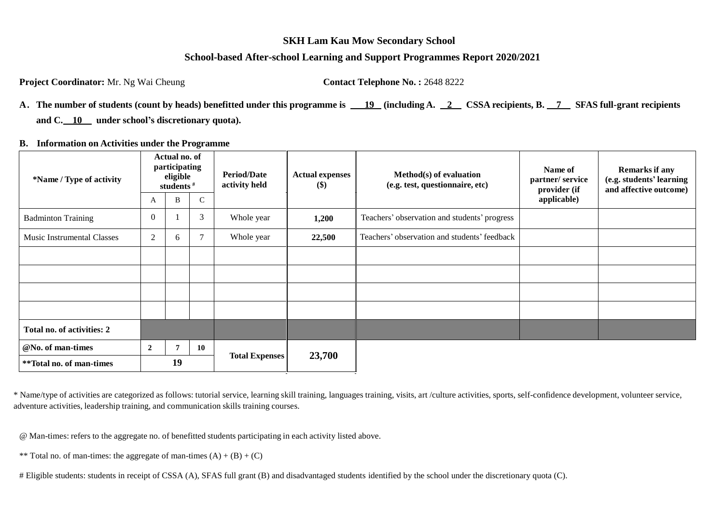#### **SKH Lam Kau Mow Secondary School**

### **School-based After-school Learning and Support Programmes Report 2020/2021**

**Project Coordinator:** Mr. Ng Wai Cheung **Contact Telephone No.:** 2648 8222

| A. The number of students (count by heads) benefitted under this programme is 19 (including A. 2 CSSA recipients, B. 7 SFAS full-grant recipients |  |  |  |
|---------------------------------------------------------------------------------------------------------------------------------------------------|--|--|--|
| and $C.$ 10 under school's discretionary quota).                                                                                                  |  |  |  |

#### **B. Information on Activities under the Programme**

| *Name / Type of activity          | Actual no. of<br>participating<br>eligible<br>students $#$ |    |                | <b>Period/Date</b><br>activity held | <b>Actual expenses</b><br>$\left( \mathbf{\$}\right)$ | Method(s) of evaluation<br>(e.g. test, questionnaire, etc) | Name of<br>partner/service<br>provider (if | Remarks if any<br>(e.g. students' learning<br>and affective outcome) |
|-----------------------------------|------------------------------------------------------------|----|----------------|-------------------------------------|-------------------------------------------------------|------------------------------------------------------------|--------------------------------------------|----------------------------------------------------------------------|
|                                   | A                                                          | B  | $\mathsf{C}$   |                                     |                                                       |                                                            | applicable)                                |                                                                      |
| <b>Badminton Training</b>         | $\overline{0}$                                             |    | 3              | Whole year                          | 1,200                                                 | Teachers' observation and students' progress               |                                            |                                                                      |
| <b>Music Instrumental Classes</b> | $\overline{2}$                                             | 6  | $\overline{7}$ | Whole year                          | 22,500                                                | Teachers' observation and students' feedback               |                                            |                                                                      |
|                                   |                                                            |    |                |                                     |                                                       |                                                            |                                            |                                                                      |
|                                   |                                                            |    |                |                                     |                                                       |                                                            |                                            |                                                                      |
|                                   |                                                            |    |                |                                     |                                                       |                                                            |                                            |                                                                      |
|                                   |                                                            |    |                |                                     |                                                       |                                                            |                                            |                                                                      |
| Total no. of activities: 2        |                                                            |    |                |                                     |                                                       |                                                            |                                            |                                                                      |
| @No. of man-times                 | $\overline{2}$                                             |    | 10             |                                     |                                                       |                                                            |                                            |                                                                      |
| **Total no. of man-times          |                                                            | 19 |                | <b>Total Expenses</b>               | 23,700                                                |                                                            |                                            |                                                                      |

\* Name/type of activities are categorized as follows: tutorial service, learning skill training, languages training, visits, art /culture activities, sports, self-confidence development, volunteer service, adventure activities, leadership training, and communication skills training courses.

@ Man-times: refers to the aggregate no. of benefitted students participating in each activity listed above.

\*\* Total no. of man-times: the aggregate of man-times  $(A) + (B) + (C)$ 

# Eligible students: students in receipt of CSSA (A), SFAS full grant (B) and disadvantaged students identified by the school under the discretionary quota (C).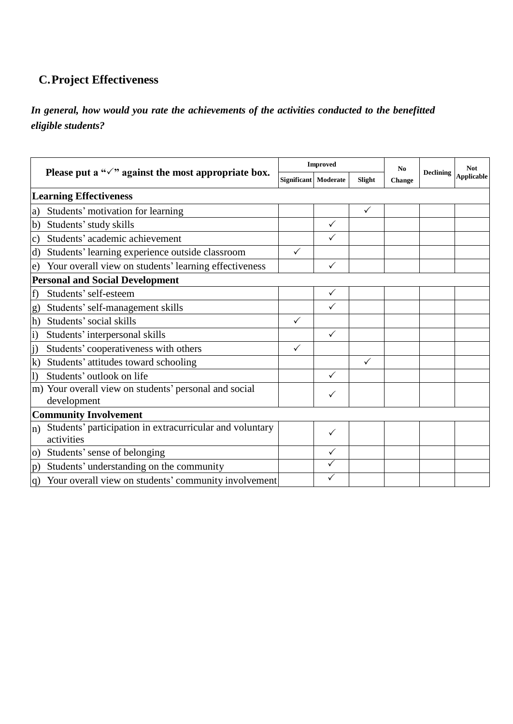## **C.Project Effectiveness**

*In general, how would you rate the achievements of the activities conducted to the benefitted eligible students?*

|                                                                              |  | <b>Improved</b>      |              | N <sub>0</sub> | <b>Declining</b> | <b>Not</b><br><b>Applicable</b> |  |
|------------------------------------------------------------------------------|--|----------------------|--------------|----------------|------------------|---------------------------------|--|
| Please put a " $\checkmark$ " against the most appropriate box.              |  | Significant Moderate | Slight       | <b>Change</b>  |                  |                                 |  |
| <b>Learning Effectiveness</b>                                                |  |                      |              |                |                  |                                 |  |
| Students' motivation for learning<br>a)                                      |  |                      |              | $\checkmark$   |                  |                                 |  |
| Students' study skills<br>$\mathbf{b}$                                       |  |                      | $\checkmark$ |                |                  |                                 |  |
| Students' academic achievement<br>$\mathbf{c})$                              |  |                      | $\checkmark$ |                |                  |                                 |  |
| Students' learning experience outside classroom<br>d)                        |  | $\checkmark$         |              |                |                  |                                 |  |
| Your overall view on students' learning effectiveness<br>e)                  |  |                      | $\checkmark$ |                |                  |                                 |  |
| <b>Personal and Social Development</b>                                       |  |                      |              |                |                  |                                 |  |
| Students' self-esteem<br>f)                                                  |  |                      | $\checkmark$ |                |                  |                                 |  |
| Students' self-management skills<br>g)                                       |  |                      | $\checkmark$ |                |                  |                                 |  |
| Students' social skills<br>h)                                                |  | ✓                    |              |                |                  |                                 |  |
| Students' interpersonal skills<br>$\bf i)$                                   |  |                      | $\checkmark$ |                |                  |                                 |  |
| Students' cooperativeness with others<br>$\vert i)$                          |  | ✓                    |              |                |                  |                                 |  |
| $\bf k$ )<br>Students' attitudes toward schooling                            |  |                      |              | $\checkmark$   |                  |                                 |  |
| Students' outlook on life<br>$\left( \right)$                                |  |                      | $\checkmark$ |                |                  |                                 |  |
| m) Your overall view on students' personal and social<br>development         |  |                      | ✓            |                |                  |                                 |  |
| <b>Community Involvement</b>                                                 |  |                      |              |                |                  |                                 |  |
| Students' participation in extracurricular and voluntary<br>n)<br>activities |  |                      | $\checkmark$ |                |                  |                                 |  |
| Students' sense of belonging<br>$\overline{O}$                               |  |                      |              |                |                  |                                 |  |
| Students' understanding on the community<br>$\mathbf{p}$ )                   |  |                      | $\checkmark$ |                |                  |                                 |  |
| Your overall view on students' community involvement<br>(q)                  |  |                      |              |                |                  |                                 |  |